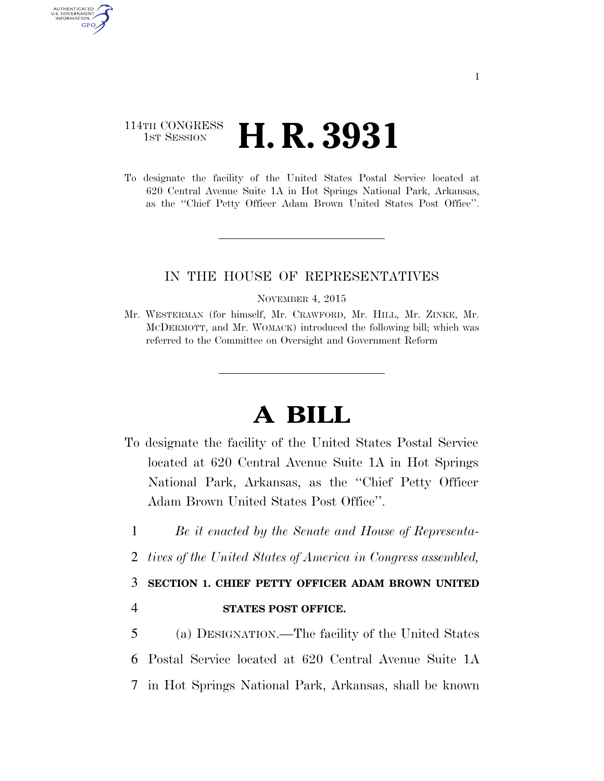## 114TH CONGRESS **1st Session H. R. 3931**

AUTHENTICATED U.S. GOVERNMENT GPO

> To designate the facility of the United States Postal Service located at 620 Central Avenue Suite 1A in Hot Springs National Park, Arkansas, as the ''Chief Petty Officer Adam Brown United States Post Office''.

## IN THE HOUSE OF REPRESENTATIVES

NOVEMBER 4, 2015

Mr. WESTERMAN (for himself, Mr. CRAWFORD, Mr. HILL, Mr. ZINKE, Mr. MCDERMOTT, and Mr. WOMACK) introduced the following bill; which was referred to the Committee on Oversight and Government Reform

## **A BILL**

- To designate the facility of the United States Postal Service located at 620 Central Avenue Suite 1A in Hot Springs National Park, Arkansas, as the ''Chief Petty Officer Adam Brown United States Post Office''.
	- 1 *Be it enacted by the Senate and House of Representa-*
	- 2 *tives of the United States of America in Congress assembled,*

## 3 **SECTION 1. CHIEF PETTY OFFICER ADAM BROWN UNITED**

4 **STATES POST OFFICE.** 

5 (a) DESIGNATION.—The facility of the United States 6 Postal Service located at 620 Central Avenue Suite 1A 7 in Hot Springs National Park, Arkansas, shall be known